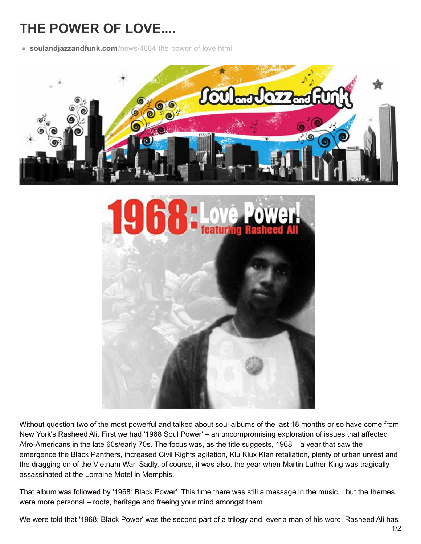## **THE POWER OF LOVE....**

**soulandjazzandfunk.com**[/news/4664-the-power-of-love.html](http://www.soulandjazzandfunk.com/news/4664-the-power-of-love.html)





Without question two of the most powerful and talked about soul albums of the last 18 months or so have come from New York's Rasheed Ali. First we had '1968 Soul Power' – an uncompromising exploration of issues that affected Afro-Americans in the late 60s/early 70s. The focus was, as the title suggests, 1968 – a year that saw the emergence the Black Panthers, increased Civil Rights agitation, Klu Klux Klan retaliation, plenty of urban unrest and the dragging on of the Vietnam War. Sadly, of course, it was also, the year when Martin Luther King was tragically assassinated at the Lorraine Motel in Memphis.

That album was followed by '1968: Black Power'. This time there was still a message in the music... but the themes were more personal – roots, heritage and freeing your mind amongst them.

We were told that '1968: Black Power' was the second part of a trilogy and, ever a man of his word, Rasheed Ali has